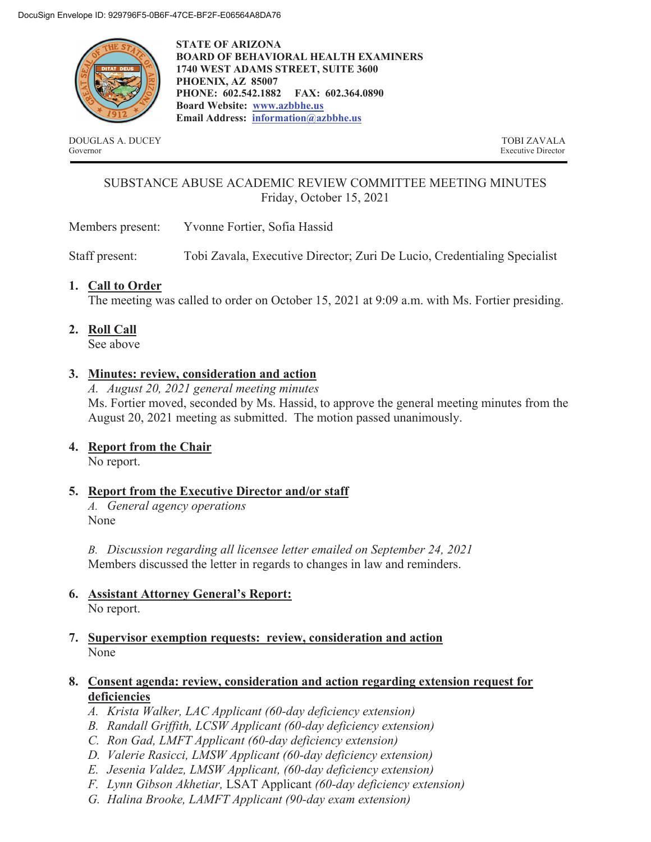

**STATE OF ARIZONA BOARD OF BEHAVIORAL HEALTH EXAMINERS 1740 WEST ADAMS STREET, SUITE 3600 PHOENIX, AZ 85007 PHONE: 602.542.1882 FAX: 602.364.0890 Board Website: www.azbbhe.us Email Address: information@azbbhe.us**

DOUGLAS A. DUCEY TOBI ZAVALA Governor Executive Director

# SUBSTANCE ABUSE ACADEMIC REVIEW COMMITTEE MEETING MINUTES Friday, October 15, 2021

Members present: Yvonne Fortier, Sofia Hassid

Staff present: Tobi Zavala, Executive Director; Zuri De Lucio, Credentialing Specialist

# **1. Call to Order**

The meeting was called to order on October 15, 2021 at 9:09 a.m. with Ms. Fortier presiding.

**2. Roll Call**

See above

# **3. Minutes: review, consideration and action**

*A. August 20, 2021 general meeting minutes*  Ms. Fortier moved, seconded by Ms. Hassid, to approve the general meeting minutes from the August 20, 2021 meeting as submitted. The motion passed unanimously.

**4. Report from the Chair** 

No report.

# **5. Report from the Executive Director and/or staff**

*A. General agency operations*  None

*B. Discussion regarding all licensee letter emailed on September 24, 2021*  Members discussed the letter in regards to changes in law and reminders.

- **6. Assistant Attorney General's Report:**  No report.
- **7. Supervisor exemption requests: review, consideration and action**  None

## **8. Consent agenda: review, consideration and action regarding extension request for deficiencies**

- *A. Krista Walker, LAC Applicant (60-day deficiency extension)*
- *B. Randall Griffith, LCSW Applicant (60-day deficiency extension)*
- *C. Ron Gad, LMFT Applicant (60-day deficiency extension)*
- *D. Valerie Rasicci, LMSW Applicant (60-day deficiency extension)*
- *E. Jesenia Valdez, LMSW Applicant, (60-day deficiency extension)*
- *F. Lynn Gibson Akhetiar,* LSAT Applicant *(60-day deficiency extension)*
- *G. Halina Brooke, LAMFT Applicant (90-day exam extension)*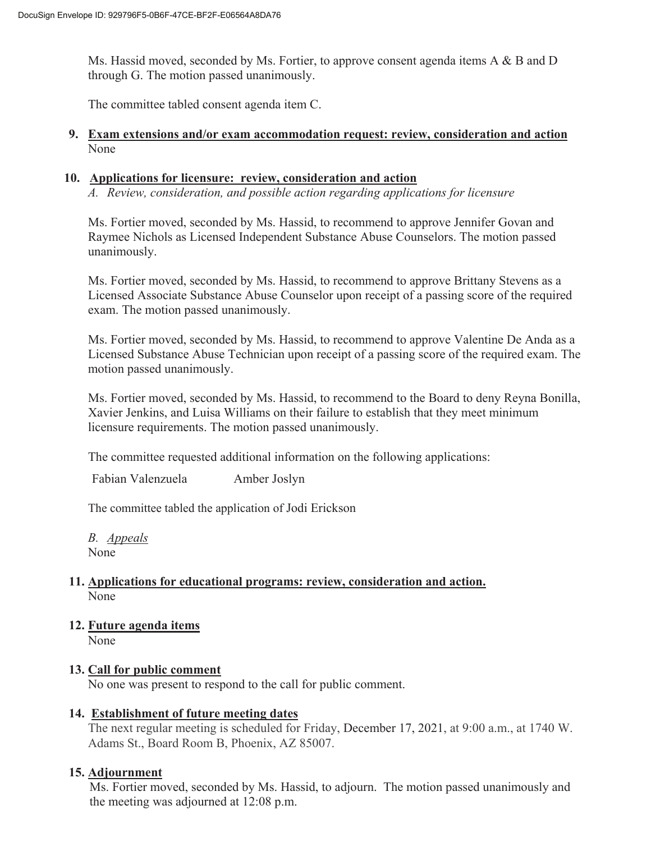Ms. Hassid moved, seconded by Ms. Fortier, to approve consent agenda items A & B and D through G. The motion passed unanimously.

The committee tabled consent agenda item C.

#### **9. Exam extensions and/or exam accommodation request: review, consideration and action**  None

#### **10. Applications for licensure: review, consideration and action**

*A. Review, consideration, and possible action regarding applications for licensure* 

Ms. Fortier moved, seconded by Ms. Hassid, to recommend to approve Jennifer Govan and Raymee Nichols as Licensed Independent Substance Abuse Counselors. The motion passed unanimously.

Ms. Fortier moved, seconded by Ms. Hassid, to recommend to approve Brittany Stevens as a Licensed Associate Substance Abuse Counselor upon receipt of a passing score of the required exam. The motion passed unanimously.

Ms. Fortier moved, seconded by Ms. Hassid, to recommend to approve Valentine De Anda as a Licensed Substance Abuse Technician upon receipt of a passing score of the required exam. The motion passed unanimously.

Ms. Fortier moved, seconded by Ms. Hassid, to recommend to the Board to deny Reyna Bonilla, Xavier Jenkins, and Luisa Williams on their failure to establish that they meet minimum licensure requirements. The motion passed unanimously.

The committee requested additional information on the following applications:

Fabian Valenzuela Amber Joslyn

The committee tabled the application of Jodi Erickson

*B. Appeals*  None

#### **11. Applications for educational programs: review, consideration and action.**  None

**12. Future agenda items**  None

## **13. Call for public comment**

No one was present to respond to the call for public comment.

## **14. Establishment of future meeting dates**

The next regular meeting is scheduled for Friday, December 17, 2021, at 9:00 a.m., at 1740 W. Adams St., Board Room B, Phoenix, AZ 85007.

## **15. Adjournment**

Ms. Fortier moved, seconded by Ms. Hassid, to adjourn. The motion passed unanimously and the meeting was adjourned at 12:08 p.m.